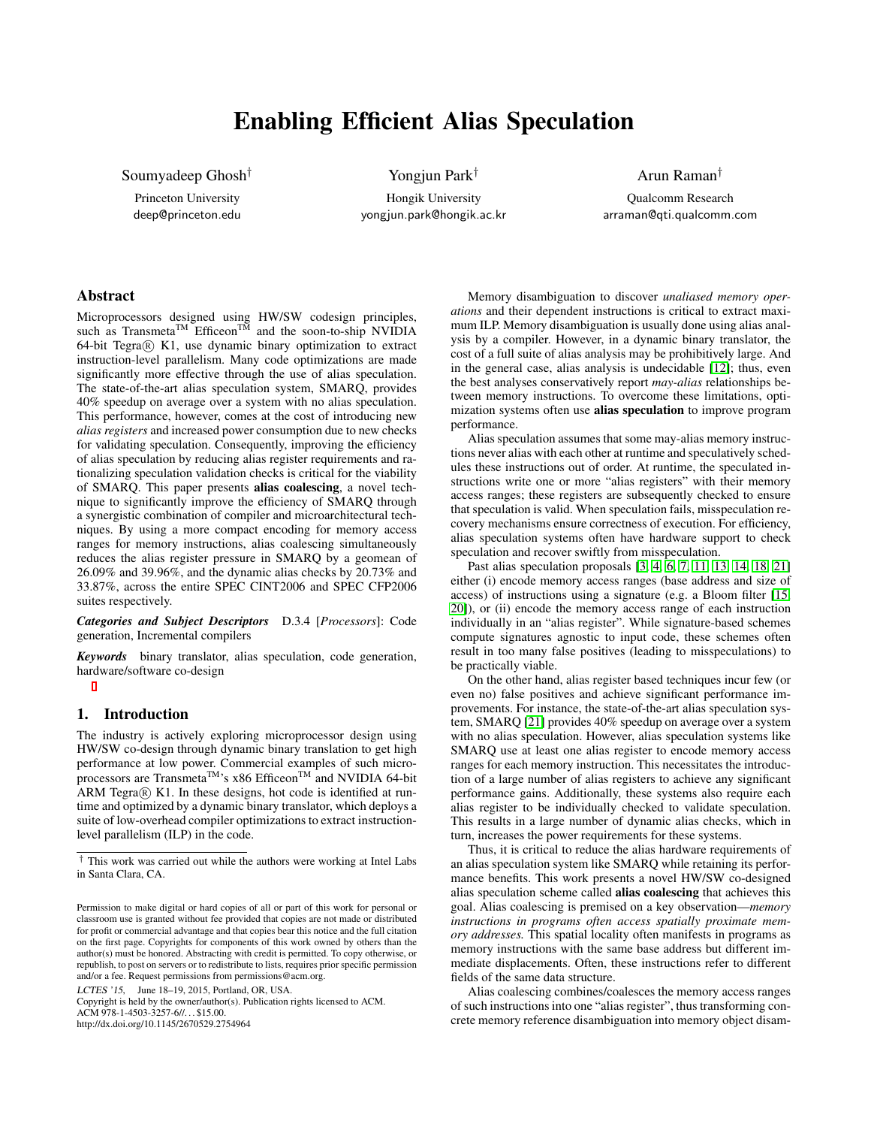# Enabling Efficient Alias Speculation

Soumyadeep Ghosh†

Princeton University deep@princeton.edu Yongjun Park†

Hongik University yongjun.park@hongik.ac.kr Arun Raman†

Qualcomm Research arraman@qti.qualcomm.com

# Abstract

Microprocessors designed using HW/SW codesign principles, such as Transmeta<sup>TM</sup> Efficeon<sup>TM</sup> and the soon-to-ship NVIDIA 64-bit Tegra <sup>R</sup> K1, use dynamic binary optimization to extract instruction-level parallelism. Many code optimizations are made significantly more effective through the use of alias speculation. The state-of-the-art alias speculation system, SMARQ, provides 40% speedup on average over a system with no alias speculation. This performance, however, comes at the cost of introducing new *alias registers* and increased power consumption due to new checks for validating speculation. Consequently, improving the efficiency of alias speculation by reducing alias register requirements and rationalizing speculation validation checks is critical for the viability of SMARQ. This paper presents alias coalescing, a novel technique to significantly improve the efficiency of SMARQ through a synergistic combination of compiler and microarchitectural techniques. By using a more compact encoding for memory access ranges for memory instructions, alias coalescing simultaneously reduces the alias register pressure in SMARQ by a geomean of 26.09% and 39.96%, and the dynamic alias checks by 20.73% and 33.87%, across the entire SPEC CINT2006 and SPEC CFP2006 suites respectively.

*Categories and Subject Descriptors* D.3.4 [*Processors*]: Code generation, Incremental compilers

*Keywords* binary translator, alias speculation, code generation, hardware/software co-design

# 1. Introduction

The industry is actively exploring microprocessor design using HW/SW co-design through dynamic binary translation to get high performance at low power. Commercial examples of such microprocessors are Transmeta<sup>TM</sup>'s x86 Efficeon<sup>TM</sup> and NVIDIA 64-bit ARM Tegra $(R)$  K1. In these designs, hot code is identified at runtime and optimized by a dynamic binary translator, which deploys a suite of low-overhead compiler optimizations to extract instructionlevel parallelism (ILP) in the code.

LCTES '15, June 18–19, 2015, Portland, OR, USA.

Copyright is held by the owner/author(s). Publication rights licensed to ACM. ACM 978-1-4503-3257-6//. . . \$15.00.

http://dx.doi.org/10.1145/2670529.2754964

Memory disambiguation to discover *unaliased memory operations* and their dependent instructions is critical to extract maximum ILP. Memory disambiguation is usually done using alias analysis by a compiler. However, in a dynamic binary translator, the cost of a full suite of alias analysis may be prohibitively large. And in the general case, alias analysis is undecidable [\[12\]](#page-9-0); thus, even the best analyses conservatively report *may-alias* relationships between memory instructions. To overcome these limitations, optimization systems often use alias speculation to improve program performance.

Alias speculation assumes that some may-alias memory instructions never alias with each other at runtime and speculatively schedules these instructions out of order. At runtime, the speculated instructions write one or more "alias registers" with their memory access ranges; these registers are subsequently checked to ensure that speculation is valid. When speculation fails, misspeculation recovery mechanisms ensure correctness of execution. For efficiency, alias speculation systems often have hardware support to check speculation and recover swiftly from misspeculation.

Past alias speculation proposals [\[3,](#page-9-1) [4,](#page-9-2) [6,](#page-9-3) [7,](#page-9-4) [11,](#page-9-5) [13,](#page-9-6) [14,](#page-9-7) [18,](#page-9-8) [21\]](#page-9-9) either (i) encode memory access ranges (base address and size of access) of instructions using a signature (e.g. a Bloom filter [\[15,](#page-9-10) [20\]](#page-9-11)), or (ii) encode the memory access range of each instruction individually in an "alias register". While signature-based schemes compute signatures agnostic to input code, these schemes often result in too many false positives (leading to misspeculations) to be practically viable.

On the other hand, alias register based techniques incur few (or even no) false positives and achieve significant performance improvements. For instance, the state-of-the-art alias speculation system, SMARQ [\[21\]](#page-9-9) provides 40% speedup on average over a system with no alias speculation. However, alias speculation systems like SMARQ use at least one alias register to encode memory access ranges for each memory instruction. This necessitates the introduction of a large number of alias registers to achieve any significant performance gains. Additionally, these systems also require each alias register to be individually checked to validate speculation. This results in a large number of dynamic alias checks, which in turn, increases the power requirements for these systems.

Thus, it is critical to reduce the alias hardware requirements of an alias speculation system like SMARQ while retaining its performance benefits. This work presents a novel HW/SW co-designed alias speculation scheme called alias coalescing that achieves this goal. Alias coalescing is premised on a key observation—*memory instructions in programs often access spatially proximate memory addresses.* This spatial locality often manifests in programs as memory instructions with the same base address but different immediate displacements. Often, these instructions refer to different fields of the same data structure.

Alias coalescing combines/coalesces the memory access ranges of such instructions into one "alias register", thus transforming concrete memory reference disambiguation into memory object disam-

<sup>†</sup> This work was carried out while the authors were working at Intel Labs in Santa Clara, CA.

Permission to make digital or hard copies of all or part of this work for personal or classroom use is granted without fee provided that copies are not made or distributed for profit or commercial advantage and that copies bear this notice and the full citation on the first page. Copyrights for components of this work owned by others than the author(s) must be honored. Abstracting with credit is permitted. To copy otherwise, or republish, to post on servers or to redistribute to lists, requires prior specific permission and/or a fee. Request permissions from permissions@acm.org.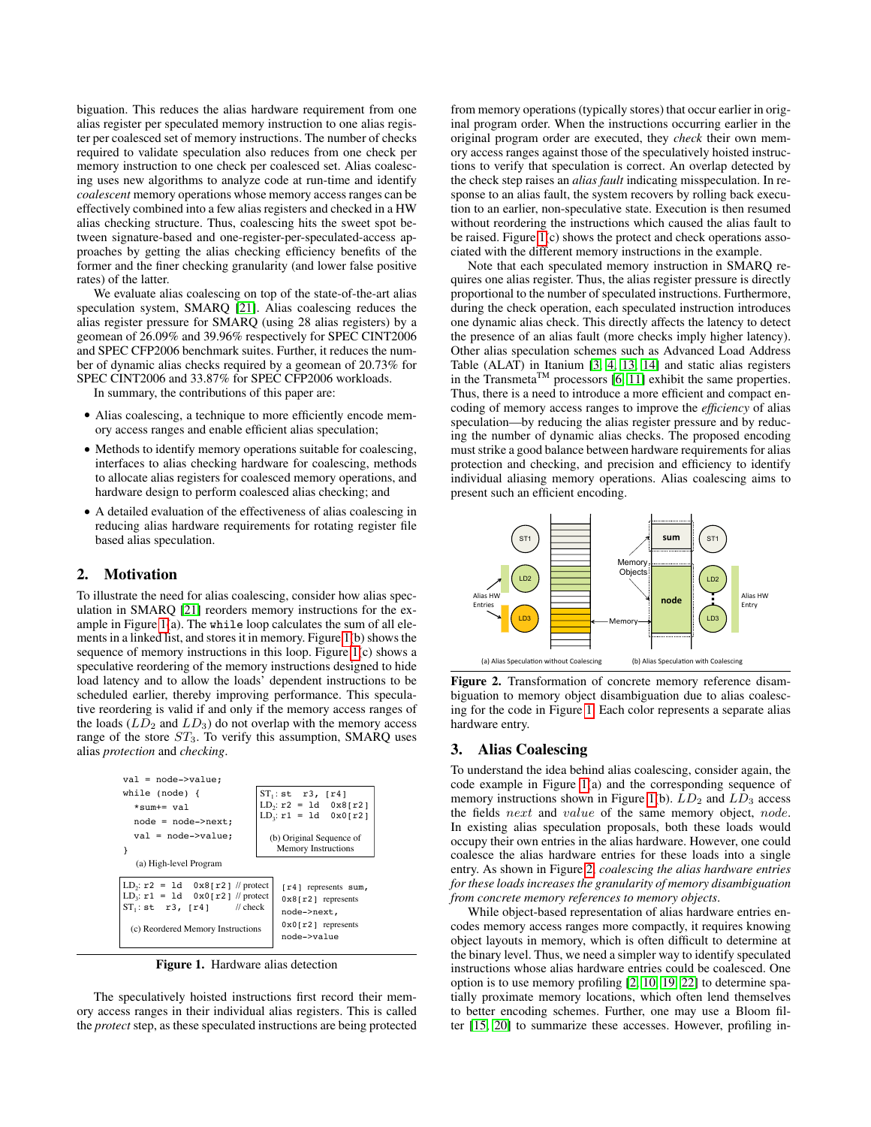biguation. This reduces the alias hardware requirement from one alias register per speculated memory instruction to one alias register per coalesced set of memory instructions. The number of checks required to validate speculation also reduces from one check per memory instruction to one check per coalesced set. Alias coalescing uses new algorithms to analyze code at run-time and identify *coalescent* memory operations whose memory access ranges can be effectively combined into a few alias registers and checked in a HW alias checking structure. Thus, coalescing hits the sweet spot between signature-based and one-register-per-speculated-access approaches by getting the alias checking efficiency benefits of the former and the finer checking granularity (and lower false positive rates) of the latter.

We evaluate alias coalescing on top of the state-of-the-art alias speculation system, SMARQ [\[21\]](#page-9-9). Alias coalescing reduces the alias register pressure for SMARQ (using 28 alias registers) by a geomean of 26.09% and 39.96% respectively for SPEC CINT2006 and SPEC CFP2006 benchmark suites. Further, it reduces the number of dynamic alias checks required by a geomean of 20.73% for SPEC CINT2006 and 33.87% for SPEC CFP2006 workloads.

In summary, the contributions of this paper are:

- Alias coalescing, a technique to more efficiently encode memory access ranges and enable efficient alias speculation;
- Methods to identify memory operations suitable for coalescing, interfaces to alias checking hardware for coalescing, methods to allocate alias registers for coalesced memory operations, and hardware design to perform coalesced alias checking; and
- A detailed evaluation of the effectiveness of alias coalescing in reducing alias hardware requirements for rotating register file based alias speculation.

# 2. Motivation

To illustrate the need for alias coalescing, consider how alias speculation in SMARQ [\[21\]](#page-9-9) reorders memory instructions for the example in Figure [1\(](#page-1-0)a). The while loop calculates the sum of all elements in a linked list, and stores it in memory. Figure [1\(](#page-1-0)b) shows the sequence of memory instructions in this loop. Figure [1\(](#page-1-0)c) shows a speculative reordering of the memory instructions designed to hide load latency and to allow the loads' dependent instructions to be scheduled earlier, thereby improving performance. This speculative reordering is valid if and only if the memory access ranges of the loads  $(LD_2$  and  $LD_3$ ) do not overlap with the memory access range of the store  $ST_3$ . To verify this assumption, SMARQ uses alias *protection* and *checking*.



<span id="page-1-0"></span>Figure 1. Hardware alias detection

The speculatively hoisted instructions first record their memory access ranges in their individual alias registers. This is called the *protect* step, as these speculated instructions are being protected from memory operations (typically stores) that occur earlier in original program order. When the instructions occurring earlier in the original program order are executed, they *check* their own memory access ranges against those of the speculatively hoisted instructions to verify that speculation is correct. An overlap detected by the check step raises an *alias fault* indicating misspeculation. In response to an alias fault, the system recovers by rolling back execution to an earlier, non-speculative state. Execution is then resumed without reordering the instructions which caused the alias fault to be raised. Figure [1\(](#page-1-0)c) shows the protect and check operations associated with the different memory instructions in the example.

Note that each speculated memory instruction in SMARQ requires one alias register. Thus, the alias register pressure is directly proportional to the number of speculated instructions. Furthermore, during the check operation, each speculated instruction introduces one dynamic alias check. This directly affects the latency to detect the presence of an alias fault (more checks imply higher latency). Other alias speculation schemes such as Advanced Load Address Table (ALAT) in Itanium [\[3,](#page-9-1) [4,](#page-9-2) [13,](#page-9-6) [14\]](#page-9-7) and static alias registers in the Transmeta<sup>TM</sup> processors [\[6,](#page-9-3) [11\]](#page-9-5) exhibit the same properties. Thus, there is a need to introduce a more efficient and compact encoding of memory access ranges to improve the *efficiency* of alias speculation—by reducing the alias register pressure and by reducing the number of dynamic alias checks. The proposed encoding must strike a good balance between hardware requirements for alias protection and checking, and precision and efficiency to identify individual aliasing memory operations. Alias coalescing aims to present such an efficient encoding.



<span id="page-1-1"></span>Figure 2. Transformation of concrete memory reference disambiguation to memory object disambiguation due to alias coalescing for the code in Figure [1.](#page-1-0) Each color represents a separate alias hardware entry.

## 3. Alias Coalescing

To understand the idea behind alias coalescing, consider again, the code example in Figure [1\(](#page-1-0)a) and the corresponding sequence of memory instructions shown in Figure [1\(](#page-1-0)b).  $LD_2$  and  $LD_3$  access the fields next and value of the same memory object, node. In existing alias speculation proposals, both these loads would occupy their own entries in the alias hardware. However, one could coalesce the alias hardware entries for these loads into a single entry. As shown in Figure [2,](#page-1-1) *coalescing the alias hardware entries for these loads increases the granularity of memory disambiguation from concrete memory references to memory objects*.

While object-based representation of alias hardware entries encodes memory access ranges more compactly, it requires knowing object layouts in memory, which is often difficult to determine at the binary level. Thus, we need a simpler way to identify speculated instructions whose alias hardware entries could be coalesced. One option is to use memory profiling [\[2,](#page-9-12) [10,](#page-9-13) [19,](#page-9-14) [22\]](#page-9-15) to determine spatially proximate memory locations, which often lend themselves to better encoding schemes. Further, one may use a Bloom filter [\[15,](#page-9-10) [20\]](#page-9-11) to summarize these accesses. However, profiling in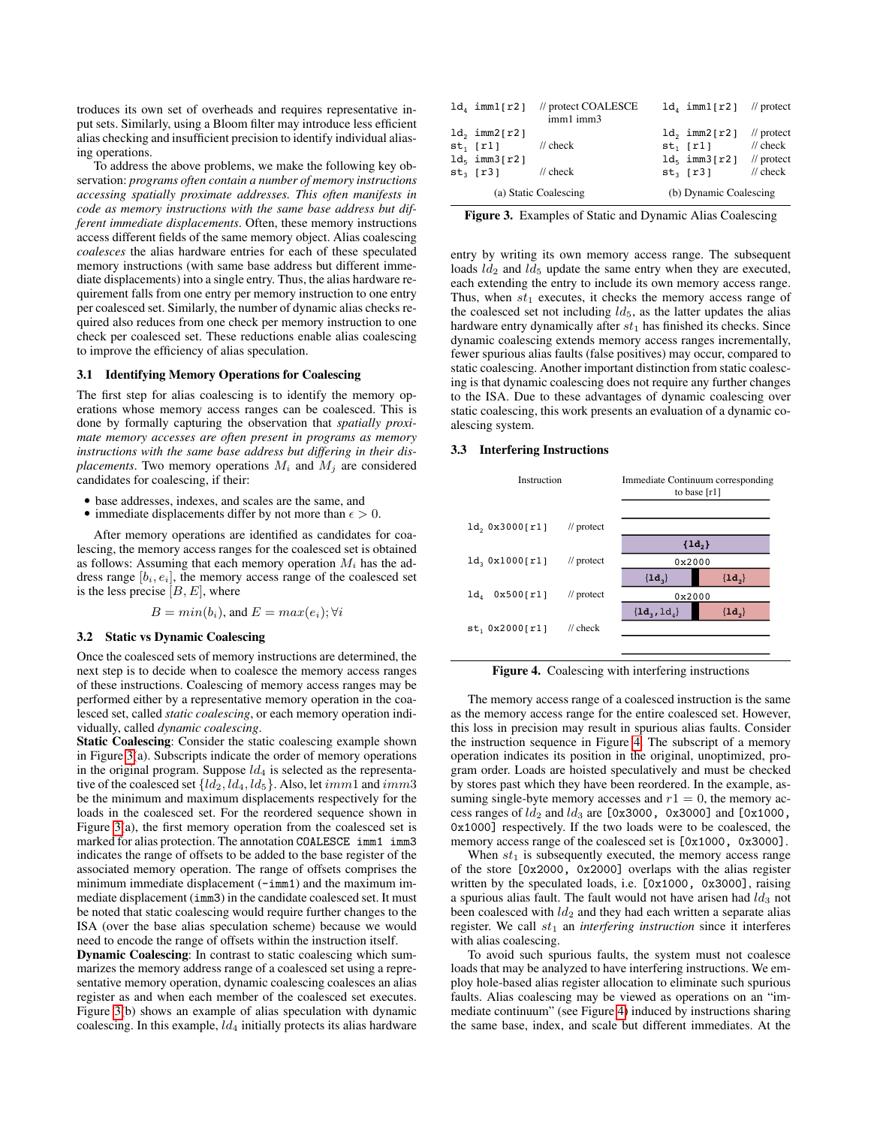troduces its own set of overheads and requires representative input sets. Similarly, using a Bloom filter may introduce less efficient alias checking and insufficient precision to identify individual aliasing operations.

To address the above problems, we make the following key observation: *programs often contain a number of memory instructions accessing spatially proximate addresses. This often manifests in code as memory instructions with the same base address but different immediate displacements*. Often, these memory instructions access different fields of the same memory object. Alias coalescing *coalesces* the alias hardware entries for each of these speculated memory instructions (with same base address but different immediate displacements) into a single entry. Thus, the alias hardware requirement falls from one entry per memory instruction to one entry per coalesced set. Similarly, the number of dynamic alias checks required also reduces from one check per memory instruction to one check per coalesced set. These reductions enable alias coalescing to improve the efficiency of alias speculation.

#### 3.1 Identifying Memory Operations for Coalescing

The first step for alias coalescing is to identify the memory operations whose memory access ranges can be coalesced. This is done by formally capturing the observation that *spatially proximate memory accesses are often present in programs as memory instructions with the same base address but differing in their displacements*. Two memory operations  $M_i$  and  $M_j$  are considered candidates for coalescing, if their:

- base addresses, indexes, and scales are the same, and
- immediate displacements differ by not more than  $\epsilon > 0$ .

After memory operations are identified as candidates for coalescing, the memory access ranges for the coalesced set is obtained as follows: Assuming that each memory operation  $M_i$  has the address range  $[b_i, e_i]$ , the memory access range of the coalesced set is the less precise  $[B, E]$ , where

$$
B = min(b_i), \text{ and } E = max(e_i); \forall i
$$

#### 3.2 Static vs Dynamic Coalescing

Once the coalesced sets of memory instructions are determined, the next step is to decide when to coalesce the memory access ranges of these instructions. Coalescing of memory access ranges may be performed either by a representative memory operation in the coalesced set, called *static coalescing*, or each memory operation individually, called *dynamic coalescing*.

Static Coalescing: Consider the static coalescing example shown in Figure [3\(](#page-2-0)a). Subscripts indicate the order of memory operations in the original program. Suppose  $ld_4$  is selected as the representative of the coalesced set  $\{ld_2,ld_4,ld_5\}$ . Also, let imm1 and imm3 be the minimum and maximum displacements respectively for the loads in the coalesced set. For the reordered sequence shown in Figure [3\(](#page-2-0)a), the first memory operation from the coalesced set is marked for alias protection. The annotation COALESCE imm1 imm3 indicates the range of offsets to be added to the base register of the associated memory operation. The range of offsets comprises the minimum immediate displacement (-imm1) and the maximum immediate displacement (imm3) in the candidate coalesced set. It must be noted that static coalescing would require further changes to the ISA (over the base alias speculation scheme) because we would need to encode the range of offsets within the instruction itself.

Dynamic Coalescing: In contrast to static coalescing which summarizes the memory address range of a coalesced set using a representative memory operation, dynamic coalescing coalesces an alias register as and when each member of the coalesced set executes. Figure [3\(](#page-2-0)b) shows an example of alias speculation with dynamic coalescing. In this example,  $ld_4$  initially protects its alias hardware

| $ld_i$ imm $1$ [r2]              | // protect COALESCE<br>imm1 imm3 | $ld_i$ imm1[r2] // protect |                       |
|----------------------------------|----------------------------------|----------------------------|-----------------------|
| $ld$ , imm $2 \lceil r^2 \rceil$ |                                  | ld, imm2 [r2]              | $\frac{1}{2}$ protect |
| st, [r1]                         | $\mathcal{U}$ check              | st, [r1]                   | $\frac{1}{2}$ check   |
| $ld_{5}$ imm3 [r2]               |                                  | $ld_{5}$ imm3 [r2]         | $\frac{1}{2}$ protect |
| st <sub>3</sub> [r3]             | $\mathcal{U}$ check              | st <sub>3</sub> [r3]       | $\mathcal{U}$ check   |
|                                  | (a) Static Coalescing            | (b) Dynamic Coalescing     |                       |

<span id="page-2-0"></span>Figure 3. Examples of Static and Dynamic Alias Coalescing

entry by writing its own memory access range. The subsequent loads  $ld_2$  and  $ld_5$  update the same entry when they are executed, each extending the entry to include its own memory access range. Thus, when  $st_1$  executes, it checks the memory access range of the coalesced set not including  $ld_5$ , as the latter updates the alias hardware entry dynamically after  $st_1$  has finished its checks. Since dynamic coalescing extends memory access ranges incrementally, fewer spurious alias faults (false positives) may occur, compared to static coalescing. Another important distinction from static coalescing is that dynamic coalescing does not require any further changes to the ISA. Due to these advantages of dynamic coalescing over static coalescing, this work presents an evaluation of a dynamic coalescing system.

#### <span id="page-2-2"></span>3.3 Interfering Instructions



<span id="page-2-1"></span>Figure 4. Coalescing with interfering instructions

The memory access range of a coalesced instruction is the same as the memory access range for the entire coalesced set. However, this loss in precision may result in spurious alias faults. Consider the instruction sequence in Figure [4.](#page-2-1) The subscript of a memory operation indicates its position in the original, unoptimized, program order. Loads are hoisted speculatively and must be checked by stores past which they have been reordered. In the example, assuming single-byte memory accesses and  $r1 = 0$ , the memory access ranges of  $ld_2$  and  $ld_3$  are [0x3000, 0x3000] and [0x1000, 0x1000] respectively. If the two loads were to be coalesced, the memory access range of the coalesced set is  $[0x1000, 0x3000]$ .

When  $st_1$  is subsequently executed, the memory access range of the store [0x2000, 0x2000] overlaps with the alias register written by the speculated loads, i.e. [0x1000, 0x3000], raising a spurious alias fault. The fault would not have arisen had  $ld_3$  not been coalesced with  $ld_2$  and they had each written a separate alias register. We call  $st_1$  an *interfering instruction* since it interferes with alias coalescing.

To avoid such spurious faults, the system must not coalesce loads that may be analyzed to have interfering instructions. We employ hole-based alias register allocation to eliminate such spurious faults. Alias coalescing may be viewed as operations on an "immediate continuum" (see Figure [4\)](#page-2-1) induced by instructions sharing the same base, index, and scale but different immediates. At the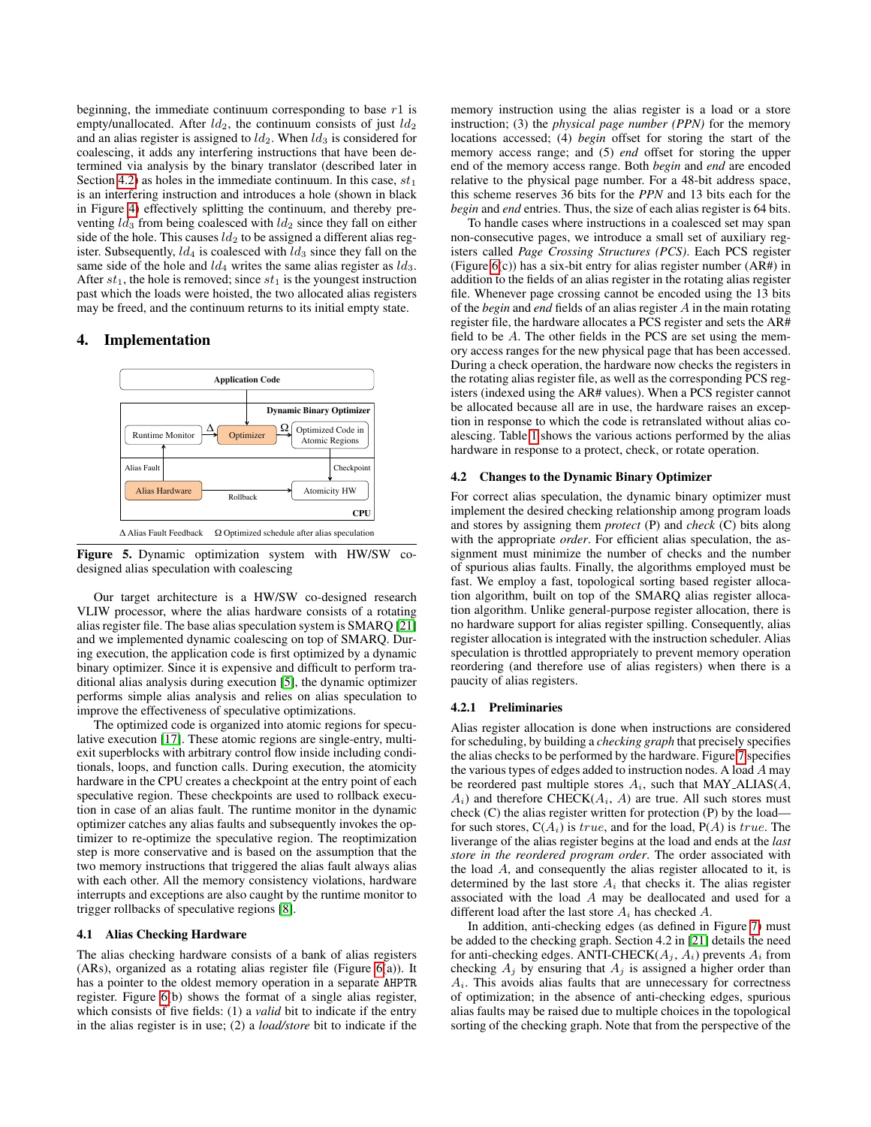beginning, the immediate continuum corresponding to base  $r1$  is empty/unallocated. After  $ld_2$ , the continuum consists of just  $ld_2$ and an alias register is assigned to  $ld_2$ . When  $ld_3$  is considered for coalescing, it adds any interfering instructions that have been determined via analysis by the binary translator (described later in Section [4.2\)](#page-3-0) as holes in the immediate continuum. In this case,  $st_1$ is an interfering instruction and introduces a hole (shown in black in Figure [4\)](#page-2-1) effectively splitting the continuum, and thereby preventing  $ld_3$  from being coalesced with  $ld_2$  since they fall on either side of the hole. This causes  $ld_2$  to be assigned a different alias register. Subsequently,  $ld_4$  is coalesced with  $ld_3$  since they fall on the same side of the hole and  $ld_4$  writes the same alias register as  $ld_3$ . After  $st_1$ , the hole is removed; since  $st_1$  is the youngest instruction past which the loads were hoisted, the two allocated alias registers may be freed, and the continuum returns to its initial empty state.

# <span id="page-3-2"></span>4. Implementation



<span id="page-3-1"></span>Figure 5. Dynamic optimization system with HW/SW codesigned alias speculation with coalescing

Our target architecture is a HW/SW co-designed research VLIW processor, where the alias hardware consists of a rotating alias register file. The base alias speculation system is SMARQ [\[21\]](#page-9-9) and we implemented dynamic coalescing on top of SMARQ. During execution, the application code is first optimized by a dynamic binary optimizer. Since it is expensive and difficult to perform traditional alias analysis during execution [\[5\]](#page-9-16), the dynamic optimizer performs simple alias analysis and relies on alias speculation to improve the effectiveness of speculative optimizations.

The optimized code is organized into atomic regions for speculative execution [\[17\]](#page-9-17). These atomic regions are single-entry, multiexit superblocks with arbitrary control flow inside including conditionals, loops, and function calls. During execution, the atomicity hardware in the CPU creates a checkpoint at the entry point of each speculative region. These checkpoints are used to rollback execution in case of an alias fault. The runtime monitor in the dynamic optimizer catches any alias faults and subsequently invokes the optimizer to re-optimize the speculative region. The reoptimization step is more conservative and is based on the assumption that the two memory instructions that triggered the alias fault always alias with each other. All the memory consistency violations, hardware interrupts and exceptions are also caught by the runtime monitor to trigger rollbacks of speculative regions [\[8\]](#page-9-18).

#### 4.1 Alias Checking Hardware

The alias checking hardware consists of a bank of alias registers (ARs), organized as a rotating alias register file (Figure [6\(](#page-4-0)a)). It has a pointer to the oldest memory operation in a separate AHPTR register. Figure [6\(](#page-4-0)b) shows the format of a single alias register, which consists of five fields: (1) a *valid* bit to indicate if the entry in the alias register is in use; (2) a *load/store* bit to indicate if the memory instruction using the alias register is a load or a store instruction; (3) the *physical page number (PPN)* for the memory locations accessed; (4) *begin* offset for storing the start of the memory access range; and (5) *end* offset for storing the upper end of the memory access range. Both *begin* and *end* are encoded relative to the physical page number. For a 48-bit address space, this scheme reserves 36 bits for the *PPN* and 13 bits each for the *begin* and *end* entries. Thus, the size of each alias register is 64 bits.

To handle cases where instructions in a coalesced set may span non-consecutive pages, we introduce a small set of auxiliary registers called *Page Crossing Structures (PCS)*. Each PCS register (Figure  $6(c)$ ) has a six-bit entry for alias register number (AR#) in addition to the fields of an alias register in the rotating alias register file. Whenever page crossing cannot be encoded using the 13 bits of the *begin* and *end* fields of an alias register A in the main rotating register file, the hardware allocates a PCS register and sets the AR# field to be A. The other fields in the PCS are set using the memory access ranges for the new physical page that has been accessed. During a check operation, the hardware now checks the registers in the rotating alias register file, as well as the corresponding PCS registers (indexed using the AR# values). When a PCS register cannot be allocated because all are in use, the hardware raises an exception in response to which the code is retranslated without alias coalescing. Table [1](#page-4-1) shows the various actions performed by the alias hardware in response to a protect, check, or rotate operation.

# <span id="page-3-0"></span>4.2 Changes to the Dynamic Binary Optimizer

For correct alias speculation, the dynamic binary optimizer must implement the desired checking relationship among program loads and stores by assigning them *protect* (P) and *check* (C) bits along with the appropriate *order*. For efficient alias speculation, the assignment must minimize the number of checks and the number of spurious alias faults. Finally, the algorithms employed must be fast. We employ a fast, topological sorting based register allocation algorithm, built on top of the SMARQ alias register allocation algorithm. Unlike general-purpose register allocation, there is no hardware support for alias register spilling. Consequently, alias register allocation is integrated with the instruction scheduler. Alias speculation is throttled appropriately to prevent memory operation reordering (and therefore use of alias registers) when there is a paucity of alias registers.

#### 4.2.1 Preliminaries

Alias register allocation is done when instructions are considered for scheduling, by building a *checking graph* that precisely specifies the alias checks to be performed by the hardware. Figure [7](#page-4-2) specifies the various types of edges added to instruction nodes. A load A may be reordered past multiple stores  $A_i$ , such that MAY\_ALIAS( $A$ ,  $A_i$ ) and therefore CHECK( $A_i$ , A) are true. All such stores must check (C) the alias register written for protection (P) by the load for such stores,  $C(A_i)$  is *true*, and for the load,  $P(A)$  is *true*. The liverange of the alias register begins at the load and ends at the *last store in the reordered program order*. The order associated with the load A, and consequently the alias register allocated to it, is determined by the last store  $A_i$  that checks it. The alias register associated with the load A may be deallocated and used for a different load after the last store  $A_i$  has checked  $A_i$ .

In addition, anti-checking edges (as defined in Figure [7\)](#page-4-2) must be added to the checking graph. Section 4.2 in [\[21\]](#page-9-9) details the need for anti-checking edges. ANTI-CHECK( $A_j$ ,  $A_i$ ) prevents  $A_i$  from checking  $A_j$  by ensuring that  $A_j$  is assigned a higher order than  $A_i$ . This avoids alias faults that are unnecessary for correctness of optimization; in the absence of anti-checking edges, spurious alias faults may be raised due to multiple choices in the topological sorting of the checking graph. Note that from the perspective of the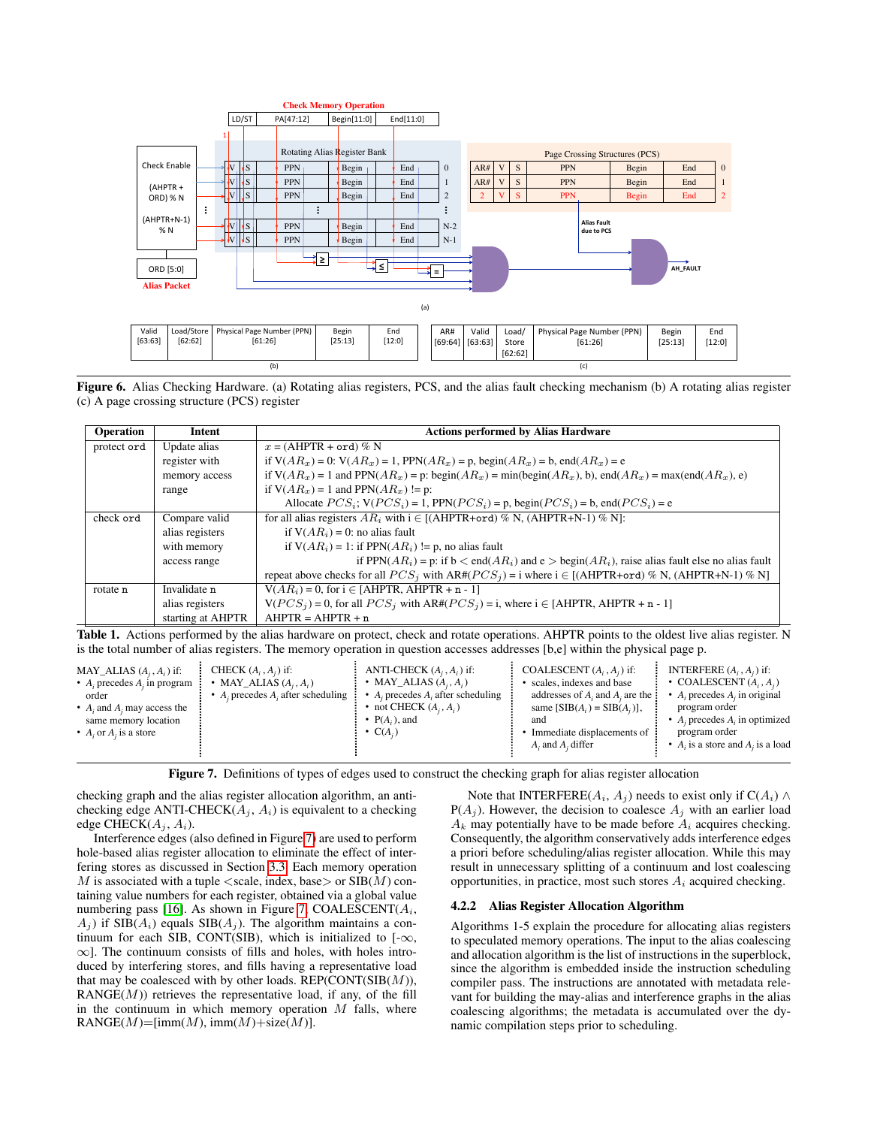

<span id="page-4-0"></span>Figure 6. Alias Checking Hardware. (a) Rotating alias registers, PCS, and the alias fault checking mechanism (b) A rotating alias register (c) A page crossing structure (PCS) register

| <b>Operation</b> | Intent            | <b>Actions performed by Alias Hardware</b>                                                                      |  |
|------------------|-------------------|-----------------------------------------------------------------------------------------------------------------|--|
| protect ord      | Update alias      | $x = (AHPTR + ord)$ % N                                                                                         |  |
|                  | register with     | if $V(A R_x) = 0$ : $V(A R_x) = 1$ , $PPN(A R_x) = p$ , $begin(A R_x) = b$ , $end(A R_x) = e$                   |  |
|                  | memory access     | if $V(AR_x) = 1$ and PPN $(AR_x) = p$ : begin $(AR_x) = min(begin(AR_x), b)$ , end $(AR_x) = max(cnd(AR_x), e)$ |  |
|                  | range             | if $V(AR_x) = 1$ and PPN $(AR_x)$ != p:                                                                         |  |
|                  |                   | Allocate $PCS_i$ ; $V(PCS_i) = 1$ , $PPN(PCS_i) = p$ , $begin(PCS_i) = b$ , end $(PCS_i) = e$                   |  |
| check ord        | Compare valid     | for all alias registers $AR_i$ with $i \in [(AHPTR+ord) \% N, (AHPTR+N-1) \% N]$ :                              |  |
|                  | alias registers   | if $V(AR_i) = 0$ : no alias fault                                                                               |  |
|                  | with memory       | if $V(AR_i) = 1$ : if PPN $(AR_i)$ ! = p, no alias fault                                                        |  |
|                  | access range      | if PPN( $AR_i$ ) = p: if $b < end(AR_i)$ and $e > begin(AR_i)$ , raise alias fault else no alias fault          |  |
|                  |                   | repeat above checks for all $PCS_i$ with $AR#(PCS_i) = i$ where $i \in [(AHPTR+ord)$ % N, $(AHPTR+N-1)$ % N]    |  |
| rotate n         | Invalidate n      | $V(AR_i) = 0$ , for $i \in [AHPTR, AHPTR + n - 1]$                                                              |  |
|                  | alias registers   | $V(PCSi) = 0$ , for all $PCSi$ with AR# $(PCSi) = i$ , where $i \in [AHPTR, AHPTR + n - 1]$                     |  |
|                  | starting at AHPTR | $AHPTR = AHPTR + n$                                                                                             |  |

<span id="page-4-1"></span>Table 1. Actions performed by the alias hardware on protect, check and rotate operations. AHPTR points to the oldest live alias register. N is the total number of alias registers. The memory operation in question accesses addresses [b,e] within the physical page p.

| MAY_ALIAS $(A_i, A_i)$ if:<br>$\bullet$ A, precedes A, in program<br>order<br>$\bullet$ A <sub>i</sub> and A <sub>i</sub> may access the<br>same memory location<br>• $A_i$ or $A_i$ is a store | CHECK $(A_i, A_i)$ if:<br>• MAY_ALIAS $(A_i, A_i)$<br>$A_i$ precedes $A_i$ after scheduling $\vdots$ | ANTI-CHECK $(A_i, A_i)$ if:<br>• MAY_ALIAS $(A_i, A_i)$<br>• $A_i$ precedes $A_i$ after scheduling<br>not CHECK $(A_i, A_i)$<br>$P(A_i)$ , and<br>$\cdot$ C(A <sub>i</sub> ) | COALESCENT $(A_i, A_i)$ if:<br>• scales, indexes and base<br>addresses of $A_i$ and $A_i$ are the :<br>same $[SIB(A_i) = SIB(A_i)],$<br>and<br>Immediate displacements of<br>$A_i$ and $A_i$ differ | INTERFERE $(A_i, A_i)$ if:<br>• COALESCENT $(A_i, A_i)$<br>$\bullet$ A <sub>i</sub> precedes A <sub>i</sub> in original<br>program order<br>$\bullet$ A, precedes A, in optimized<br>program order<br>• $A_i$ is a store and $A_i$ is a load |
|-------------------------------------------------------------------------------------------------------------------------------------------------------------------------------------------------|------------------------------------------------------------------------------------------------------|------------------------------------------------------------------------------------------------------------------------------------------------------------------------------|-----------------------------------------------------------------------------------------------------------------------------------------------------------------------------------------------------|----------------------------------------------------------------------------------------------------------------------------------------------------------------------------------------------------------------------------------------------|
|-------------------------------------------------------------------------------------------------------------------------------------------------------------------------------------------------|------------------------------------------------------------------------------------------------------|------------------------------------------------------------------------------------------------------------------------------------------------------------------------------|-----------------------------------------------------------------------------------------------------------------------------------------------------------------------------------------------------|----------------------------------------------------------------------------------------------------------------------------------------------------------------------------------------------------------------------------------------------|

<span id="page-4-2"></span>Figure 7. Definitions of types of edges used to construct the checking graph for alias register allocation

checking graph and the alias register allocation algorithm, an antichecking edge ANTI-CHECK( $A_i$ ,  $A_i$ ) is equivalent to a checking edge CHECK $(A_i, A_i)$ .

Interference edges (also defined in Figure [7\)](#page-4-2) are used to perform hole-based alias register allocation to eliminate the effect of interfering stores as discussed in Section [3.3.](#page-2-2) Each memory operation M is associated with a tuple  $\langle$  scale, index, base $>$  or SIB(M) containing value numbers for each register, obtained via a global value numbering pass [\[16\]](#page-9-19). As shown in Figure [7,](#page-4-2) COALESCENT( $A_i$ ,  $A_i$ ) if SIB( $A_i$ ) equals SIB( $A_i$ ). The algorithm maintains a continuum for each SIB, CONT(SIB), which is initialized to  $[-\infty,$ ∞]. The continuum consists of fills and holes, with holes introduced by interfering stores, and fills having a representative load that may be coalesced with by other loads.  $REP(CONT(SIB(M)),$  $RANGE(M)$ ) retrieves the representative load, if any, of the fill in the continuum in which memory operation  $M$  falls, where  $RANGE(M) = [imm(M), imm(M) + size(M)].$ 

Note that INTERFERE( $A_i$ ,  $A_j$ ) needs to exist only if  $C(A_i) \wedge$  $P(A_i)$ . However, the decision to coalesce  $A_i$  with an earlier load  $A_k$  may potentially have to be made before  $A_i$  acquires checking. Consequently, the algorithm conservatively adds interference edges a priori before scheduling/alias register allocation. While this may result in unnecessary splitting of a continuum and lost coalescing opportunities, in practice, most such stores  $A_i$  acquired checking.

## 4.2.2 Alias Register Allocation Algorithm

Algorithms 1-5 explain the procedure for allocating alias registers to speculated memory operations. The input to the alias coalescing and allocation algorithm is the list of instructions in the superblock, since the algorithm is embedded inside the instruction scheduling compiler pass. The instructions are annotated with metadata relevant for building the may-alias and interference graphs in the alias coalescing algorithms; the metadata is accumulated over the dynamic compilation steps prior to scheduling.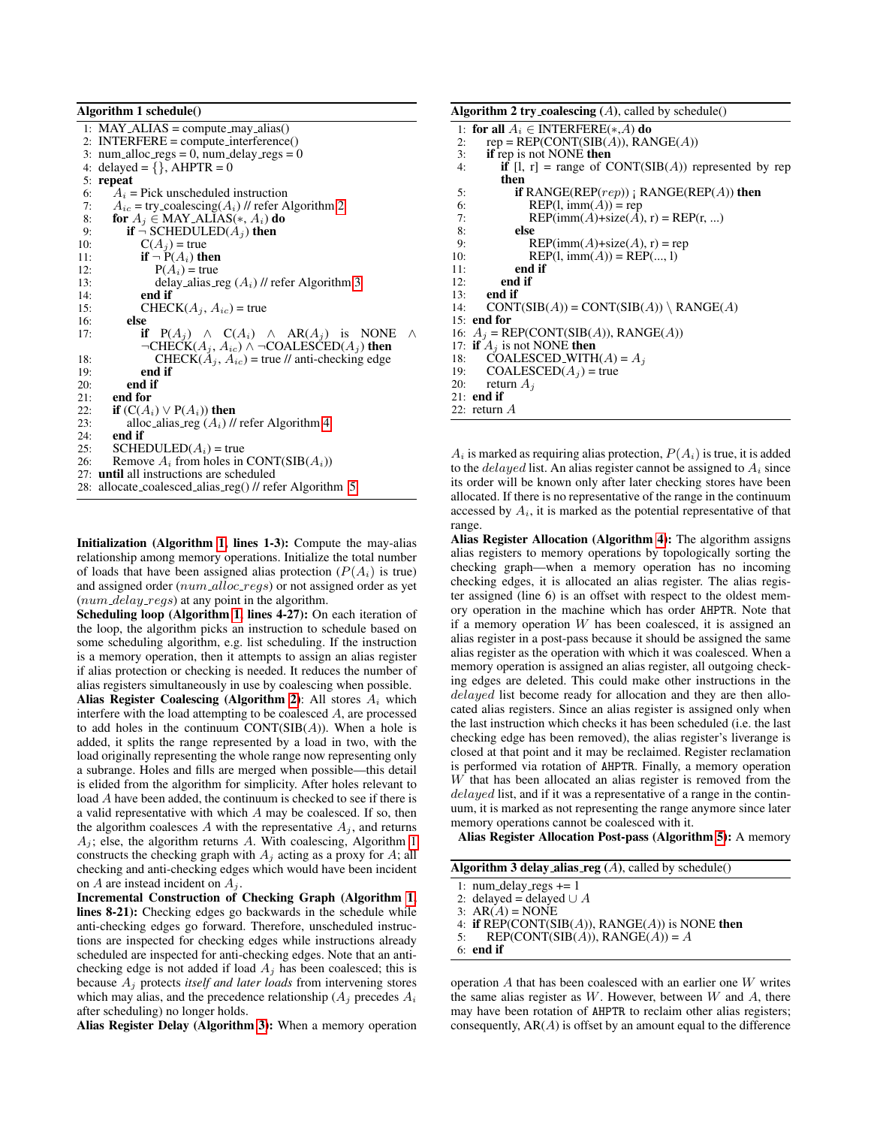<span id="page-5-2"></span>Algorithm 1 schedule() 1:  $MAX\_ALIAS = compute\_max\_alias()$ 2: INTERFERE = compute interference $()$ 3: num\_alloc\_regs =  $0$ , num\_delay\_regs =  $0$ 4: delayed =  $\{\}$ , AHPTR = 0 5: repeat 6:  $A_i$  = Pick unscheduled instruction<br>7:  $A_{i,c}$  = try\_coalescing( $A_i$ ) // refer A 7:  $A_{ic}$  = try\_coalescing( $A_i$ ) // refer Algorithm [2](#page-5-0)<br>8: **for**  $A_i \in \text{MAX}$  ALIAS(\*,  $A_i$ ) **do** 8: for  $A_j \in$  MAY\_ALIAS(\*,  $A_i$ ) do<br>9: if  $\neg$  SCHEDULED( $A_i$ ) then 9: **if**  $\neg$  SCHEDULED( $A_j$ ) then<br>10:  $C(A_j)$  = true  $C(A_j)$  = true 11: **if**  $\neg$  P( $A_i$ ) then 12:  $P(A_i) = \text{true}$ 13: delay alias reg  $(A_i)$  // refer Algorithm [3](#page-5-1) 14: end if 15: **CHECK** $(A_j, A_{ic})$  = true 16: **else**<br>17: **if if** P(A<sub>j</sub>) ∧ C(A<sub>i</sub>) ∧ AR(A<sub>j</sub>) is NONE ∧  $\neg \text{CHECK}(A_j, A_{ic}) \wedge \neg \text{COALESCED}(A_j)$  then 18: CHECK( $\tilde{A}_j$ ,  $A_{ic}$ ) = true // anti-checking edge<br>19: **end if** 19: **end if**  $20$ 20: end if  $21:$  end for 21: **end for**<br>22: **if**  $(C(A))$ 22: **if**  $(C(A_i) \vee P(A_i))$  then<br>23: alloc alias reg  $(A_i)$  // 23: alloc\_alias\_reg  $(A_i)$  // refer Algorithm [4](#page-6-0)<br>24. **end if** 24: **end if**<br>25: **SCHE** 25: SCHEDULED( $A_i$ ) = true<br>26: Remove  $A_i$  from holes in Remove  $A_i$  from holes in CONT(SIB( $A_i$ )) 27: until all instructions are scheduled 28: allocate coalesced alias reg() // refer Algorithm [5](#page-6-1)

Initialization (Algorithm [1,](#page-5-2) lines 1-3): Compute the may-alias relationship among memory operations. Initialize the total number of loads that have been assigned alias protection  $(P(A_i))$  is true) and assigned order  $(num\_alloc\_reqs)$  or not assigned order as yet  $(num\_delay\_regs)$  at any point in the algorithm.

Scheduling loop (Algorithm [1,](#page-5-2) lines 4-27): On each iteration of the loop, the algorithm picks an instruction to schedule based on some scheduling algorithm, e.g. list scheduling. If the instruction is a memory operation, then it attempts to assign an alias register if alias protection or checking is needed. It reduces the number of alias registers simultaneously in use by coalescing when possible. Alias Register Coalescing (Algorithm [2\)](#page-5-0): All stores  $A_i$  which interfere with the load attempting to be coalesced A, are processed to add holes in the continuum  $CONT(SIB(A))$ . When a hole is added, it splits the range represented by a load in two, with the load originally representing the whole range now representing only a subrange. Holes and fills are merged when possible—this detail is elided from the algorithm for simplicity. After holes relevant to load A have been added, the continuum is checked to see if there is a valid representative with which  $A$  may be coalesced. If so, then the algorithm coalesces A with the representative  $A_i$ , and returns  $A_i$ ; else, the algorithm returns A. With coalescing, Algorithm [1](#page-5-2) constructs the checking graph with  $A_i$  acting as a proxy for  $A$ ; all checking and anti-checking edges which would have been incident on A are instead incident on  $A_i$ .

Incremental Construction of Checking Graph (Algorithm [1,](#page-5-2) lines 8-21): Checking edges go backwards in the schedule while anti-checking edges go forward. Therefore, unscheduled instructions are inspected for checking edges while instructions already scheduled are inspected for anti-checking edges. Note that an antichecking edge is not added if load  $A_j$  has been coalesced; this is because A<sup>j</sup> protects *itself and later loads* from intervening stores which may alias, and the precedence relationship  $(A_i)$  precedes  $A_i$ after scheduling) no longer holds.

Alias Register Delay (Algorithm [3\)](#page-5-1): When a memory operation

<span id="page-5-0"></span>Algorithm 2 try\_coalescing  $(A)$ , called by schedule() 1: for all  $A_i \in \text{INTERFERE}(*, A)$  do 2:  $rep = \text{REP}(\text{CONT}(\text{SIB}(A)), \text{RANGE}(A))$ <br>3: **if** rep is not NONE **then** 3: **if** rep is not NONE then<br>4: **if**  $[I, r] = \text{range of } C$  $\mathbf{if}$  [l, r] = range of CONT(SIB(A)) represented by rep then 5: **if** RANGE(REP(*rep*)) **;** RANGE(REP(*A*)) **then** 6: **REP(l,** imm(*A*)) = rep 6: REP(l, imm(A)) = rep<br>7: REP(imm(A)+size(A) 7: REP(imm( $A$ )+size( $\hat{A}$ ), r) = REP(r, ...)<br>8: else 8: **else**<br>9: F 9: REP(imm(A)+size(A), r) = rep<br>10: REP(l, imm(A)) = REP(..., l) 10: REP(1, imm(A)) = REP(..., 1)<br>11: **end if** 11: **end if**<br>12: **end if** end if  $13:$  end if 14: CONT(SIB(A)) = CONT(SIB(A)) \ RANGE(A) 15: end for 16:  $A_j = \text{REP}(\text{CONT}(\text{SIB}(A)), \text{RANGE}(A))$ 17: if  $A_i$  is not NONE then 18: COALESCED WITH $(A) = A_j$ 19: COALESCED $(A_j)$  = true 20: return  $A_j$ 21: end if 22: return A

 $A_i$  is marked as requiring alias protection,  $P(A_i)$  is true, it is added to the *delayed* list. An alias register cannot be assigned to  $A_i$  since its order will be known only after later checking stores have been allocated. If there is no representative of the range in the continuum accessed by  $A_i$ , it is marked as the potential representative of that range.

Alias Register Allocation (Algorithm [4\)](#page-6-0): The algorithm assigns alias registers to memory operations by topologically sorting the checking graph—when a memory operation has no incoming checking edges, it is allocated an alias register. The alias register assigned (line 6) is an offset with respect to the oldest memory operation in the machine which has order AHPTR. Note that if a memory operation  $W$  has been coalesced, it is assigned an alias register in a post-pass because it should be assigned the same alias register as the operation with which it was coalesced. When a memory operation is assigned an alias register, all outgoing checking edges are deleted. This could make other instructions in the delayed list become ready for allocation and they are then allocated alias registers. Since an alias register is assigned only when the last instruction which checks it has been scheduled (i.e. the last checking edge has been removed), the alias register's liverange is closed at that point and it may be reclaimed. Register reclamation is performed via rotation of AHPTR. Finally, a memory operation W that has been allocated an alias register is removed from the delayed list, and if it was a representative of a range in the continuum, it is marked as not representing the range anymore since later memory operations cannot be coalesced with it.

Alias Register Allocation Post-pass (Algorithm [5\)](#page-6-1): A memory

<span id="page-5-1"></span>

| <b>Algorithm 3 delay alias reg</b> $(A)$ , called by schedule() |  |
|-----------------------------------------------------------------|--|
|-----------------------------------------------------------------|--|

```
1: num\_delay\_regs += 1
```

```
2: delayed = delayed ∪ A
```

```
3: AR(A) = NONE
```
4: if  $REP(CONT(SIB(A)), RANGE(A))$  is NONE then 5: REP(CONT(SIB(A)), RANGE(A)) = A

6: end if

operation A that has been coalesced with an earlier one W writes the same alias register as  $W$ . However, between  $W$  and  $A$ , there may have been rotation of AHPTR to reclaim other alias registers; consequently,  $AR(A)$  is offset by an amount equal to the difference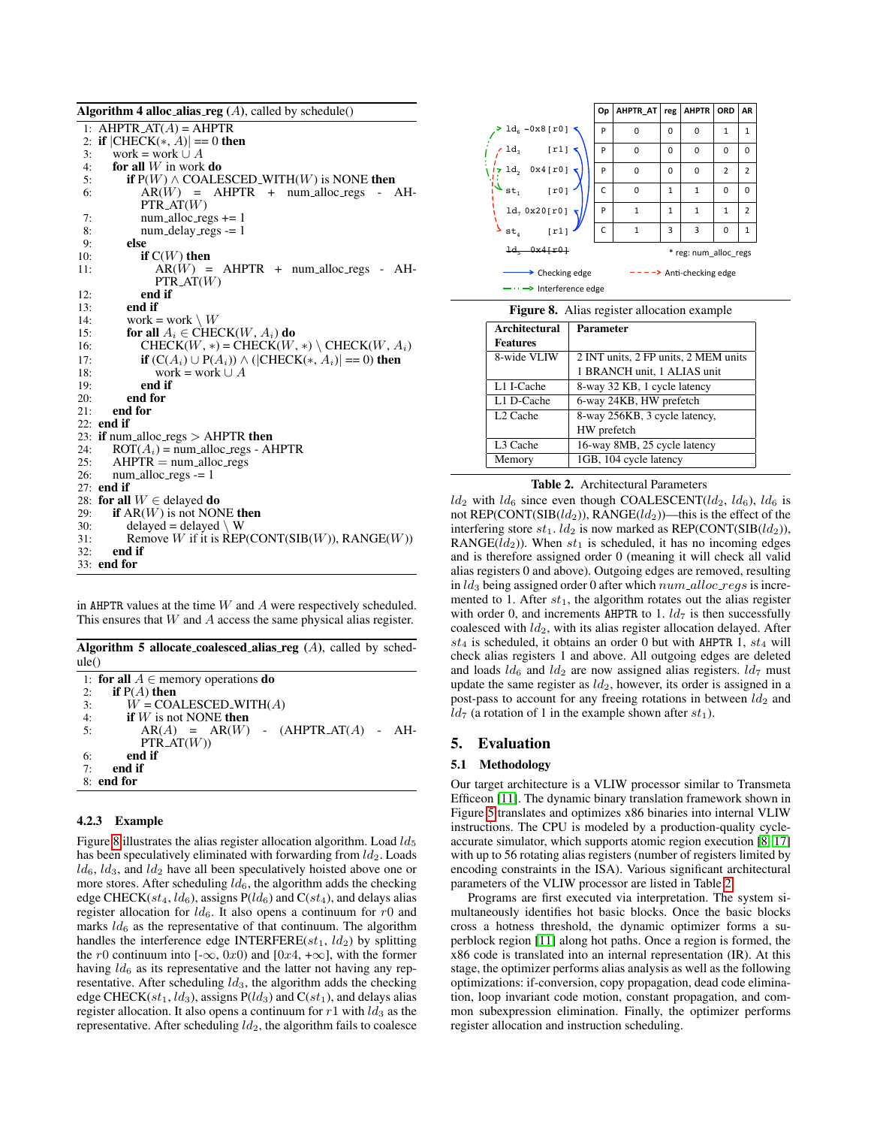<span id="page-6-0"></span>

|            | <b>Algorithm 4 alloc_alias_reg</b> $(A)$ , called by schedule()             |
|------------|-----------------------------------------------------------------------------|
|            | 1: AHPTR_AT( $A$ ) = AHPTR                                                  |
|            | 2: if $ CHECK(*, A)  == 0$ then                                             |
| 3:         | work = work $\cup A$                                                        |
| 4:         | for all $W$ in work do                                                      |
| 5:         | <b>if</b> $P(W) \wedge$ COALESCED_WITH(W) is NONE then                      |
| 6:         | $AR(W) = AHPTR + num\_alloc\_regs -$<br>- AH<br>$PTR_A T(W)$                |
| 7:         | $num_$ alloc_regs $+= 1$                                                    |
| 8:         | $num\_delay\_regs = 1$                                                      |
| 9:         | else                                                                        |
| 10:        | if $C(W)$ then                                                              |
| 11:        | $AR(W) = AHPTR + num_2 \cdot \text{R}$ - AH-                                |
|            | $PTR_A T(W)$                                                                |
| 12:        | end if                                                                      |
| 13:        | end if                                                                      |
| 14:        | work = work $\setminus W$                                                   |
| 15:        | for all $A_i \in \mathrm{CHECK}(W, A_i)$ do                                 |
| 16:        | CHECK $(W, *)$ = CHECK $(W, *) \setminus$ CHECK $(W, A_i)$                  |
| 17:        | if $(C(A_i) \cup P(A_i)) \wedge ( CHECK(*, A_i)  == 0)$ then                |
| 18:        | work = work $\cup A$                                                        |
| 19:        | end if                                                                      |
| 20:        | end for                                                                     |
| 21:        | end for                                                                     |
|            | $22:$ end if                                                                |
|            | 23: if num_alloc_regs $>$ AHPTR then                                        |
| 24:<br>25: | $ROT(A_i)$ = num_alloc_regs - AHPTR                                         |
| 26:        | $AHPTR = num_alloc_regs$                                                    |
|            | $num_$ -alloc_regs $-1$<br>$27:$ end if                                     |
|            | 28: for all $W \in$ delayed do                                              |
| 29:        | <b>if</b> $AR(W)$ is not NONE then                                          |
| 30:        | delayed = delayed $\setminus W$                                             |
| 31:        | Remove W if it is $\text{REP}(\text{CONT}(\text{SIB}(W)), \text{RANGE}(W))$ |
| 32:        | end if                                                                      |
|            | $33:$ end for                                                               |

in AHPTR values at the time  $W$  and  $A$  were respectively scheduled. This ensures that  $W$  and  $A$  access the same physical alias register.

<span id="page-6-1"></span>Algorithm 5 allocate\_coalesced\_alias\_reg  $(A)$ , called by schedule()

|    | 1: for all $A \in$ memory operations do |  |
|----|-----------------------------------------|--|
| 2: | if $P(A)$ then                          |  |
| 3: | $W = \text{COALESCED\_WITH}(A)$         |  |
| 4: | if $W$ is not NONE then                 |  |
| 5: | $AR(A) = AR(W)$ - $(AHPTR_A T(A) - AH$  |  |
|    | $PTR_AT(W)$                             |  |
| 6: | end if                                  |  |
| 7: | end if                                  |  |
|    | 8: end for                              |  |

## 4.2.3 Example

Figure [8](#page-6-2) illustrates the alias register allocation algorithm. Load  $ld_5$ has been speculatively eliminated with forwarding from  $ld_2$ . Loads  $ld_6$ ,  $ld_3$ , and  $ld_2$  have all been speculatively hoisted above one or more stores. After scheduling  $ld_6$ , the algorithm adds the checking edge CHECK( $st_4$ ,  $ld_6$ ), assigns  $P(d_6)$  and  $C(st_4)$ , and delays alias register allocation for  $ld_6$ . It also opens a continuum for r0 and marks  $ld_6$  as the representative of that continuum. The algorithm handles the interference edge INTERFERE( $st_1$ ,  $ld_2$ ) by splitting the r0 continuum into  $[-\infty, 0x0)$  and  $[0x4, +\infty]$ , with the former having  $ld_6$  as its representative and the latter not having any representative. After scheduling  $ld_3$ , the algorithm adds the checking edge CHECK( $st_1$ ,  $ld_3$ ), assigns  $P(d_3)$  and  $C(st_1)$ , and delays alias register allocation. It also opens a continuum for  $r1$  with  $ld_3$  as the representative. After scheduling  $ld_2$ , the algorithm fails to coalesce



<span id="page-6-2"></span>

|  |  |  | <b>Figure 8.</b> Alias register allocation example |  |
|--|--|--|----------------------------------------------------|--|
|--|--|--|----------------------------------------------------|--|

| Architectural        | Parameter                            |
|----------------------|--------------------------------------|
| <b>Features</b>      |                                      |
| 8-wide VLIW          | 2 INT units, 2 FP units, 2 MEM units |
|                      | 1 BRANCH unit, 1 ALIAS unit          |
| L1 I-Cache           | 8-way 32 KB, 1 cycle latency         |
| L1 D-Cache           | 6-way 24KB, HW prefetch              |
| L <sub>2</sub> Cache | 8-way 256KB, 3 cycle latency,        |
|                      | HW prefetch                          |
| L <sub>3</sub> Cache | 16-way 8MB, 25 cycle latency         |
| Memory               | 1GB, 104 cycle latency               |

#### <span id="page-6-3"></span>Table 2. Architectural Parameters

 $ld_2$  with  $ld_6$  since even though COALESCENT( $ld_2$ ,  $ld_6$ ),  $ld_6$  is not REP(CONT(SIB( $ld_2$ )), RANGE( $ld_2$ ))—this is the effect of the interfering store  $st_1$ .  $ld_2$  is now marked as REP(CONT(SIB( $ld_2$ )), RANGE( $ld_2$ )). When  $st_1$  is scheduled, it has no incoming edges and is therefore assigned order 0 (meaning it will check all valid alias registers 0 and above). Outgoing edges are removed, resulting in  $ld_3$  being assigned order 0 after which  $num\_alloc\_regs$  is incremented to 1. After  $st_1$ , the algorithm rotates out the alias register with order 0, and increments AHPTR to 1.  $ld_7$  is then successfully coalesced with  $ld_2$ , with its alias register allocation delayed. After  $st_4$  is scheduled, it obtains an order 0 but with AHPTR 1,  $st_4$  will check alias registers 1 and above. All outgoing edges are deleted and loads  $ld_6$  and  $ld_2$  are now assigned alias registers.  $ld_7$  must update the same register as  $ld_2$ , however, its order is assigned in a post-pass to account for any freeing rotations in between  $ld_2$  and  $ld_7$  (a rotation of 1 in the example shown after  $st_1$ ).

# 5. Evaluation

# <span id="page-6-4"></span>5.1 Methodology

Our target architecture is a VLIW processor similar to Transmeta Efficeon [\[11\]](#page-9-5). The dynamic binary translation framework shown in Figure [5](#page-3-1) translates and optimizes x86 binaries into internal VLIW instructions. The CPU is modeled by a production-quality cycleaccurate simulator, which supports atomic region execution [\[8,](#page-9-18) [17\]](#page-9-17) with up to 56 rotating alias registers (number of registers limited by encoding constraints in the ISA). Various significant architectural parameters of the VLIW processor are listed in Table [2.](#page-6-3)

Programs are first executed via interpretation. The system simultaneously identifies hot basic blocks. Once the basic blocks cross a hotness threshold, the dynamic optimizer forms a superblock region [\[11\]](#page-9-5) along hot paths. Once a region is formed, the x86 code is translated into an internal representation (IR). At this stage, the optimizer performs alias analysis as well as the following optimizations: if-conversion, copy propagation, dead code elimination, loop invariant code motion, constant propagation, and common subexpression elimination. Finally, the optimizer performs register allocation and instruction scheduling.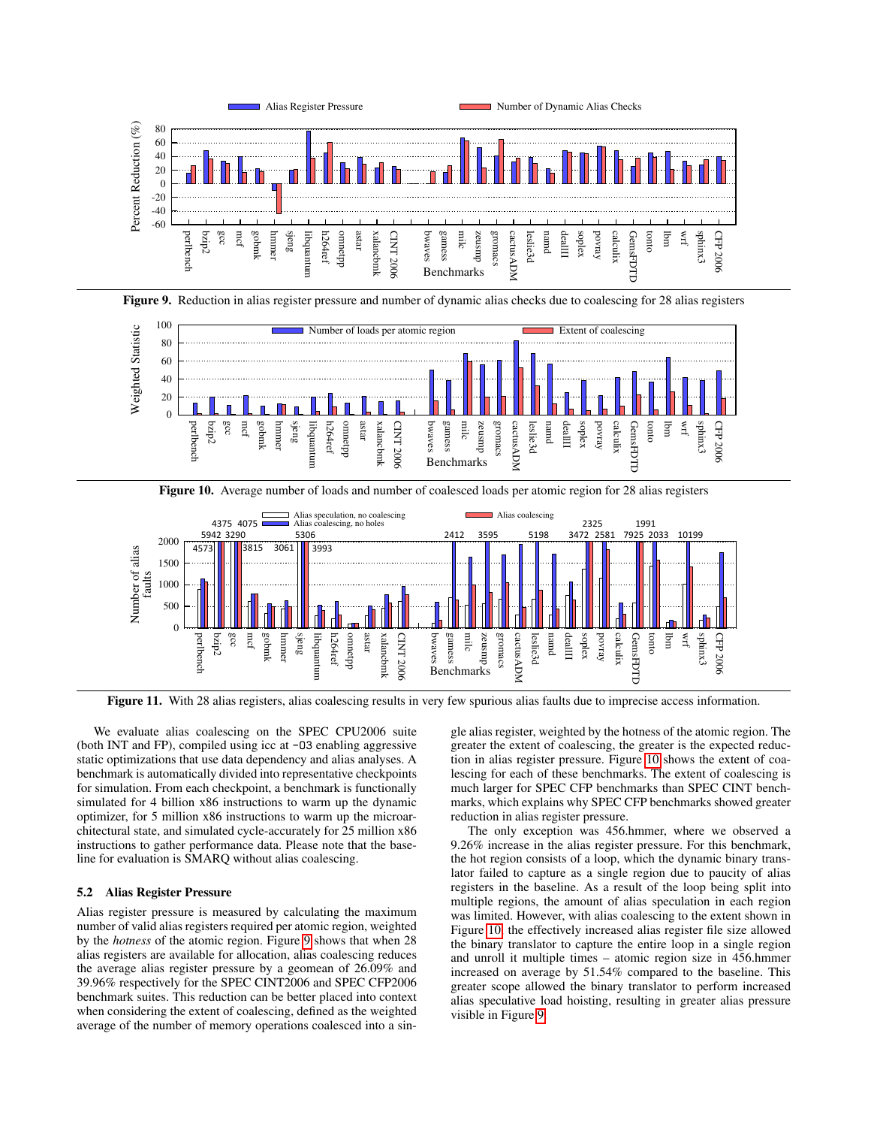

<span id="page-7-0"></span>



<span id="page-7-1"></span>Figure 10. Average number of loads and number of coalesced loads per atomic region for 28 alias registers



<span id="page-7-2"></span>Figure 11. With 28 alias registers, alias coalescing results in very few spurious alias faults due to imprecise access information.

We evaluate alias coalescing on the SPEC CPU2006 suite (both INT and FP), compiled using icc at -O3 enabling aggressive static optimizations that use data dependency and alias analyses. A benchmark is automatically divided into representative checkpoints for simulation. From each checkpoint, a benchmark is functionally simulated for 4 billion x86 instructions to warm up the dynamic optimizer, for 5 million x86 instructions to warm up the microarchitectural state, and simulated cycle-accurately for 25 million x86 instructions to gather performance data. Please note that the baseline for evaluation is SMARQ without alias coalescing.

# <span id="page-7-3"></span>5.2 Alias Register Pressure

Alias register pressure is measured by calculating the maximum number of valid alias registers required per atomic region, weighted by the *hotness* of the atomic region. Figure [9](#page-7-0) shows that when 28 alias registers are available for allocation, alias coalescing reduces the average alias register pressure by a geomean of 26.09% and 39.96% respectively for the SPEC CINT2006 and SPEC CFP2006 benchmark suites. This reduction can be better placed into context when considering the extent of coalescing, defined as the weighted average of the number of memory operations coalesced into a sin-

gle alias register, weighted by the hotness of the atomic region. The greater the extent of coalescing, the greater is the expected reduction in alias register pressure. Figure [10](#page-7-1) shows the extent of coalescing for each of these benchmarks. The extent of coalescing is much larger for SPEC CFP benchmarks than SPEC CINT benchmarks, which explains why SPEC CFP benchmarks showed greater reduction in alias register pressure.

The only exception was 456.hmmer, where we observed a 9.26% increase in the alias register pressure. For this benchmark, the hot region consists of a loop, which the dynamic binary translator failed to capture as a single region due to paucity of alias registers in the baseline. As a result of the loop being split into multiple regions, the amount of alias speculation in each region was limited. However, with alias coalescing to the extent shown in Figure [10,](#page-7-1) the effectively increased alias register file size allowed the binary translator to capture the entire loop in a single region and unroll it multiple times – atomic region size in 456.hmmer increased on average by 51.54% compared to the baseline. This greater scope allowed the binary translator to perform increased alias speculative load hoisting, resulting in greater alias pressure visible in Figure [9.](#page-7-0)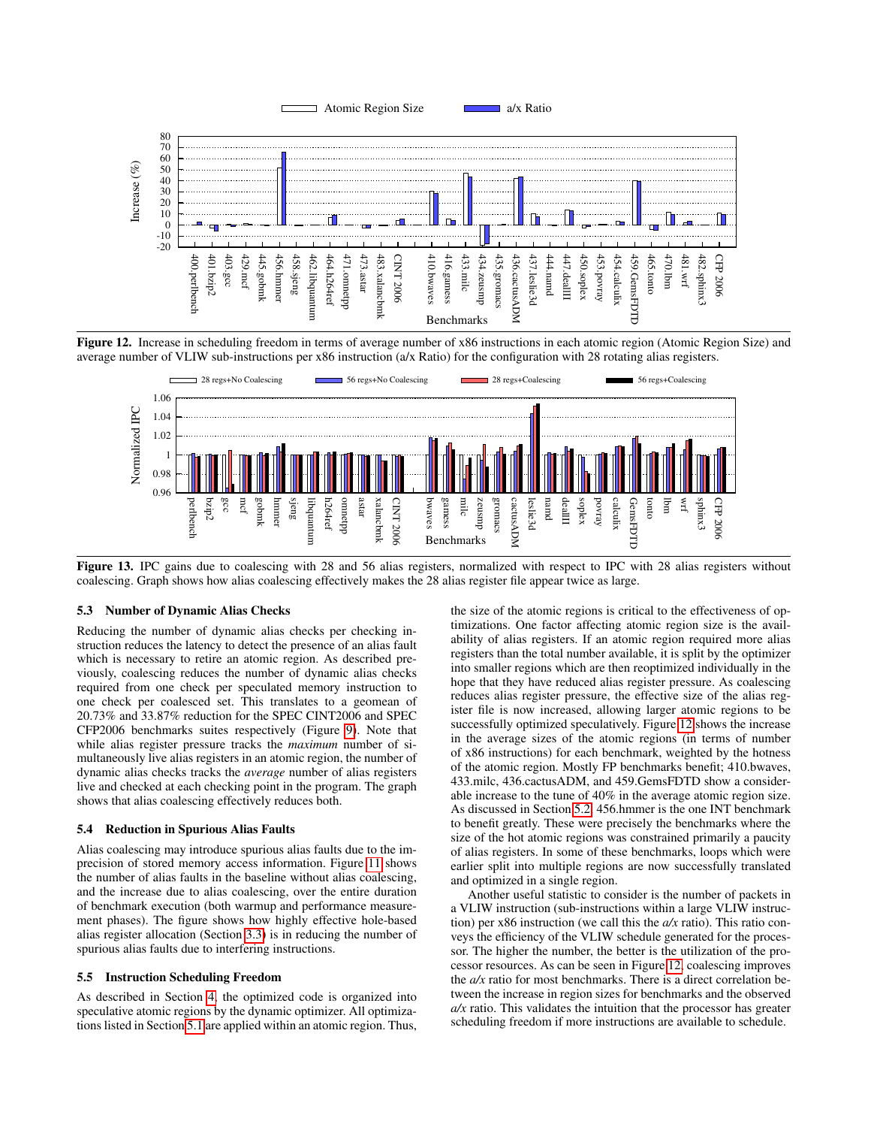

Figure 12. Increase in scheduling freedom in terms of average number of x86 instructions in each atomic region (Atomic Region Size) and average number of VLIW sub-instructions per x86 instruction (a/x Ratio) for the configuration with 28 rotating alias registers.

<span id="page-8-0"></span>

<span id="page-8-1"></span>Figure 13. IPC gains due to coalescing with 28 and 56 alias registers, normalized with respect to IPC with 28 alias registers without coalescing. Graph shows how alias coalescing effectively makes the 28 alias register file appear twice as large.

#### 5.3 Number of Dynamic Alias Checks

Reducing the number of dynamic alias checks per checking instruction reduces the latency to detect the presence of an alias fault which is necessary to retire an atomic region. As described previously, coalescing reduces the number of dynamic alias checks required from one check per speculated memory instruction to one check per coalesced set. This translates to a geomean of 20.73% and 33.87% reduction for the SPEC CINT2006 and SPEC CFP2006 benchmarks suites respectively (Figure [9\)](#page-7-0). Note that while alias register pressure tracks the *maximum* number of simultaneously live alias registers in an atomic region, the number of dynamic alias checks tracks the *average* number of alias registers live and checked at each checking point in the program. The graph shows that alias coalescing effectively reduces both.

#### 5.4 Reduction in Spurious Alias Faults

Alias coalescing may introduce spurious alias faults due to the imprecision of stored memory access information. Figure [11](#page-7-2) shows the number of alias faults in the baseline without alias coalescing, and the increase due to alias coalescing, over the entire duration of benchmark execution (both warmup and performance measurement phases). The figure shows how highly effective hole-based alias register allocation (Section [3.3\)](#page-2-2) is in reducing the number of spurious alias faults due to interfering instructions.

#### 5.5 Instruction Scheduling Freedom

As described in Section [4,](#page-3-2) the optimized code is organized into speculative atomic regions by the dynamic optimizer. All optimizations listed in Section [5.1](#page-6-4) are applied within an atomic region. Thus,

the size of the atomic regions is critical to the effectiveness of optimizations. One factor affecting atomic region size is the availability of alias registers. If an atomic region required more alias registers than the total number available, it is split by the optimizer into smaller regions which are then reoptimized individually in the hope that they have reduced alias register pressure. As coalescing reduces alias register pressure, the effective size of the alias register file is now increased, allowing larger atomic regions to be successfully optimized speculatively. Figure [12](#page-8-0) shows the increase in the average sizes of the atomic regions (in terms of number of x86 instructions) for each benchmark, weighted by the hotness of the atomic region. Mostly FP benchmarks benefit; 410.bwaves, 433.milc, 436.cactusADM, and 459.GemsFDTD show a considerable increase to the tune of 40% in the average atomic region size. As discussed in Section [5.2,](#page-7-3) 456.hmmer is the one INT benchmark to benefit greatly. These were precisely the benchmarks where the size of the hot atomic regions was constrained primarily a paucity of alias registers. In some of these benchmarks, loops which were earlier split into multiple regions are now successfully translated and optimized in a single region.

Another useful statistic to consider is the number of packets in a VLIW instruction (sub-instructions within a large VLIW instruction) per x86 instruction (we call this the *a/x* ratio). This ratio conveys the efficiency of the VLIW schedule generated for the processor. The higher the number, the better is the utilization of the processor resources. As can be seen in Figure [12,](#page-8-0) coalescing improves the *a/x* ratio for most benchmarks. There is a direct correlation between the increase in region sizes for benchmarks and the observed *a/x* ratio. This validates the intuition that the processor has greater scheduling freedom if more instructions are available to schedule.